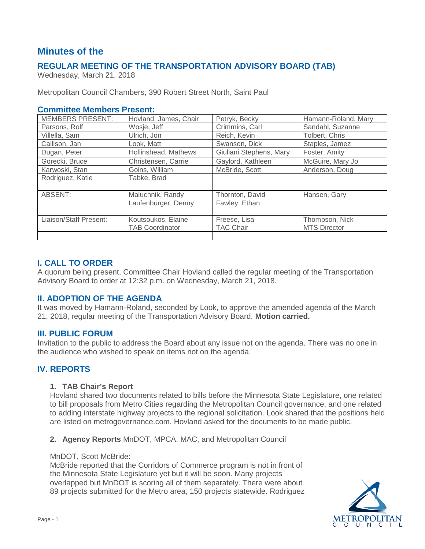# **Minutes of the**

# **REGULAR MEETING OF THE TRANSPORTATION ADVISORY BOARD (TAB)**

Wednesday, March 21, 2018

Metropolitan Council Chambers, 390 Robert Street North, Saint Paul

# **Committee Members Present:**

| <b>MEMBERS PRESENT:</b> | Hovland, James, Chair  | Petryk, Becky           | Hamann-Roland, Mary |
|-------------------------|------------------------|-------------------------|---------------------|
| Parsons, Rolf           | Wosje, Jeff            | Crimmins, Carl          | Sandahl, Suzanne    |
| Villella, Sam           | Ulrich, Jon            | Reich, Kevin            | Tolbert, Chris      |
| Callison, Jan           | Look, Matt             | Swanson, Dick           | Staples, Jamez      |
| Dugan, Peter            | Hollinshead, Mathews   | Giuliani Stephens, Mary | Foster, Amity       |
| Gorecki, Bruce          | Christensen, Carrie    | Gaylord, Kathleen       | McGuire, Mary Jo    |
| Karwoski, Stan          | Goins, William         | McBride, Scott          | Anderson, Doug      |
| Rodriguez, Katie        | Tabke, Brad            |                         |                     |
|                         |                        |                         |                     |
| ABSENT:                 | Maluchnik, Randy       | Thornton, David         | Hansen, Gary        |
|                         | Laufenburger, Denny    | Fawley, Ethan           |                     |
|                         |                        |                         |                     |
| Liaison/Staff Present:  | Koutsoukos, Elaine     | Freese, Lisa            | Thompson, Nick      |
|                         | <b>TAB Coordinator</b> | <b>TAC Chair</b>        | <b>MTS Director</b> |
|                         |                        |                         |                     |

# **I. CALL TO ORDER**

A quorum being present, Committee Chair Hovland called the regular meeting of the Transportation Advisory Board to order at 12:32 p.m. on Wednesday, March 21, 2018.

# **II. ADOPTION OF THE AGENDA**

It was moved by Hamann-Roland, seconded by Look, to approve the amended agenda of the March 21, 2018, regular meeting of the Transportation Advisory Board. **Motion carried.**

# **III. PUBLIC FORUM**

Invitation to the public to address the Board about any issue not on the agenda. There was no one in the audience who wished to speak on items not on the agenda.

# **IV. REPORTS**

#### **1. TAB Chair's Report**

Hovland shared two documents related to bills before the Minnesota State Legislature, one related to bill proposals from Metro Cities regarding the Metropolitan Council governance, and one related to adding interstate highway projects to the regional solicitation. Look shared that the positions held are listed on metrogovernance.com. Hovland asked for the documents to be made public.

**2. Agency Reports** MnDOT, MPCA, MAC, and Metropolitan Council

#### MnDOT, Scott McBride:

McBride reported that the Corridors of Commerce program is not in front of the Minnesota State Legislature yet but it will be soon. Many projects overlapped but MnDOT is scoring all of them separately. There were about 89 projects submitted for the Metro area, 150 projects statewide. Rodriguez

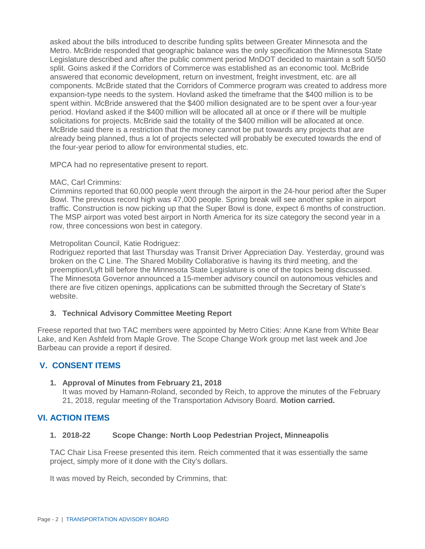asked about the bills introduced to describe funding splits between Greater Minnesota and the Metro. McBride responded that geographic balance was the only specification the Minnesota State Legislature described and after the public comment period MnDOT decided to maintain a soft 50/50 split. Goins asked if the Corridors of Commerce was established as an economic tool. McBride answered that economic development, return on investment, freight investment, etc. are all components. McBride stated that the Corridors of Commerce program was created to address more expansion-type needs to the system. Hovland asked the timeframe that the \$400 million is to be spent within. McBride answered that the \$400 million designated are to be spent over a four-year period. Hovland asked if the \$400 million will be allocated all at once or if there will be multiple solicitations for projects. McBride said the totality of the \$400 million will be allocated at once. McBride said there is a restriction that the money cannot be put towards any projects that are already being planned, thus a lot of projects selected will probably be executed towards the end of the four-year period to allow for environmental studies, etc.

MPCA had no representative present to report.

#### MAC, Carl Crimmins:

Crimmins reported that 60,000 people went through the airport in the 24-hour period after the Super Bowl. The previous record high was 47,000 people. Spring break will see another spike in airport traffic. Construction is now picking up that the Super Bowl is done, expect 6 months of construction. The MSP airport was voted best airport in North America for its size category the second year in a row, three concessions won best in category.

#### Metropolitan Council, Katie Rodriguez:

Rodriguez reported that last Thursday was Transit Driver Appreciation Day. Yesterday, ground was broken on the C Line. The Shared Mobility Collaborative is having its third meeting, and the preemption/Lyft bill before the Minnesota State Legislature is one of the topics being discussed. The Minnesota Governor announced a 15-member advisory council on autonomous vehicles and there are five citizen openings, applications can be submitted through the Secretary of State's website.

# **3. Technical Advisory Committee Meeting Report**

Freese reported that two TAC members were appointed by Metro Cities: Anne Kane from White Bear Lake, and Ken Ashfeld from Maple Grove. The Scope Change Work group met last week and Joe Barbeau can provide a report if desired.

# **V. CONSENT ITEMS**

# **1. Approval of Minutes from February 21, 2018**

It was moved by Hamann-Roland, seconded by Reich, to approve the minutes of the February 21, 2018, regular meeting of the Transportation Advisory Board. **Motion carried.**

# **VI. ACTION ITEMS**

# **1. 2018-22 Scope Change: North Loop Pedestrian Project, Minneapolis**

TAC Chair Lisa Freese presented this item. Reich commented that it was essentially the same project, simply more of it done with the City's dollars.

It was moved by Reich, seconded by Crimmins, that: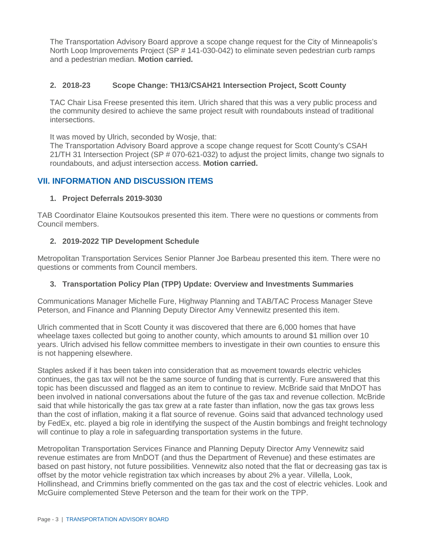The Transportation Advisory Board approve a scope change request for the City of Minneapolis's North Loop Improvements Project (SP # 141-030-042) to eliminate seven pedestrian curb ramps and a pedestrian median. **Motion carried.**

# **2. 2018-23 Scope Change: TH13/CSAH21 Intersection Project, Scott County**

TAC Chair Lisa Freese presented this item. Ulrich shared that this was a very public process and the community desired to achieve the same project result with roundabouts instead of traditional intersections.

It was moved by Ulrich, seconded by Wosje, that:

The Transportation Advisory Board approve a scope change request for Scott County's CSAH 21/TH 31 Intersection Project (SP # 070-621-032) to adjust the project limits, change two signals to roundabouts, and adjust intersection access. **Motion carried.**

# **VII. INFORMATION AND DISCUSSION ITEMS**

# **1. Project Deferrals 2019-3030**

TAB Coordinator Elaine Koutsoukos presented this item. There were no questions or comments from Council members.

# **2. 2019-2022 TIP Development Schedule**

Metropolitan Transportation Services Senior Planner Joe Barbeau presented this item. There were no questions or comments from Council members.

# **3. Transportation Policy Plan (TPP) Update: Overview and Investments Summaries**

Communications Manager Michelle Fure, Highway Planning and TAB/TAC Process Manager Steve Peterson, and Finance and Planning Deputy Director Amy Vennewitz presented this item.

Ulrich commented that in Scott County it was discovered that there are 6,000 homes that have wheelage taxes collected but going to another county, which amounts to around \$1 million over 10 years. Ulrich advised his fellow committee members to investigate in their own counties to ensure this is not happening elsewhere.

Staples asked if it has been taken into consideration that as movement towards electric vehicles continues, the gas tax will not be the same source of funding that is currently. Fure answered that this topic has been discussed and flagged as an item to continue to review. McBride said that MnDOT has been involved in national conversations about the future of the gas tax and revenue collection. McBride said that while historically the gas tax grew at a rate faster than inflation, now the gas tax grows less than the cost of inflation, making it a flat source of revenue. Goins said that advanced technology used by FedEx, etc. played a big role in identifying the suspect of the Austin bombings and freight technology will continue to play a role in safeguarding transportation systems in the future.

Metropolitan Transportation Services Finance and Planning Deputy Director Amy Vennewitz said revenue estimates are from MnDOT (and thus the Department of Revenue) and these estimates are based on past history, not future possibilities. Vennewitz also noted that the flat or decreasing gas tax is offset by the motor vehicle registration tax which increases by about 2% a year. Villella, Look, Hollinshead, and Crimmins briefly commented on the gas tax and the cost of electric vehicles. Look and McGuire complemented Steve Peterson and the team for their work on the TPP.